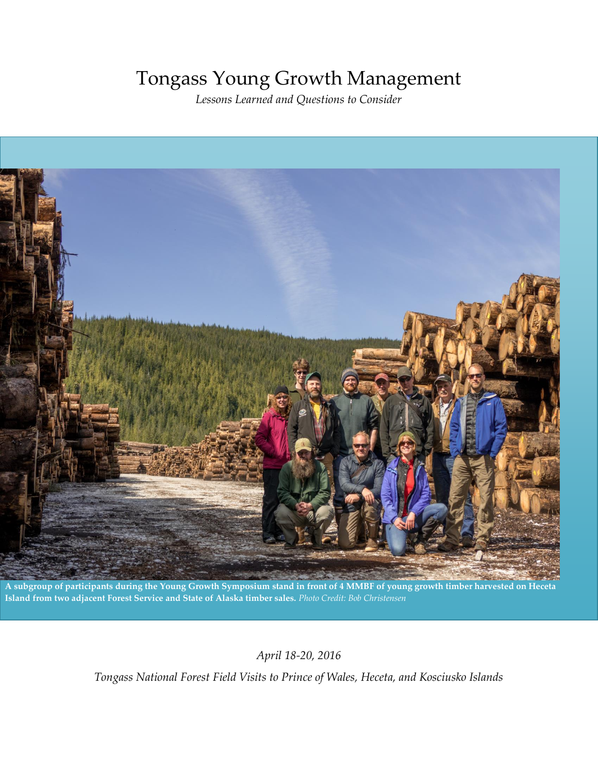# Tongass Young Growth Management

*Lessons Learned and Questions to Consider* 



**A subgroup of participants during the Young Growth Symposium stand in front of 4 MMBF of young growth timber harvested on Heceta Island from two adjacent Forest Service and State of Alaska timber sales.** *Photo Credit: Bob Christensen*

*April 18-20, 2016* 

*Tongass National Forest Field Visits to Prince of Wales, Heceta, and Kosciusko Islands*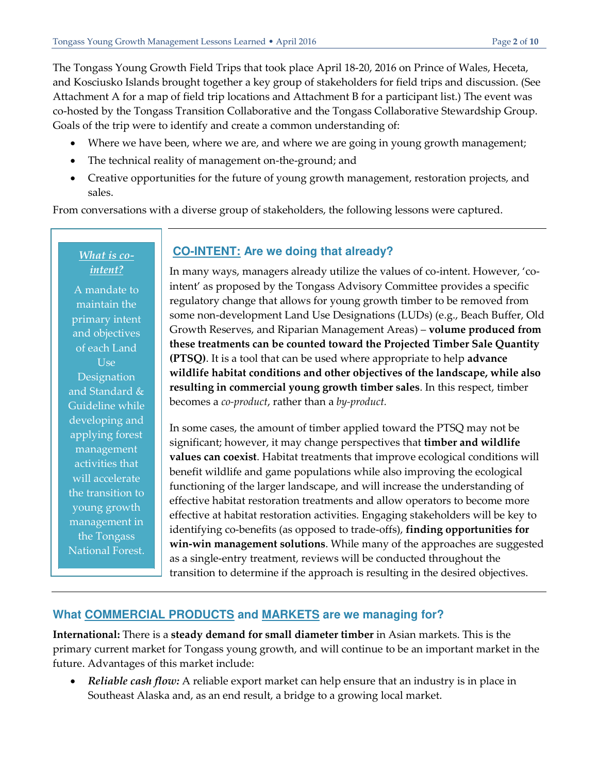The Tongass Young Growth Field Trips that took place April 18-20, 2016 on Prince of Wales, Heceta, and Kosciusko Islands brought together a key group of stakeholders for field trips and discussion. (See Attachment A for a map of field trip locations and Attachment B for a participant list.) The event was co-hosted by the Tongass Transition Collaborative and the Tongass Collaborative Stewardship Group. Goals of the trip were to identify and create a common understanding of:

- Where we have been, where we are, and where we are going in young growth management;
- The technical reality of management on-the-ground; and
- Creative opportunities for the future of young growth management, restoration projects, and sales.

From conversations with a diverse group of stakeholders, the following lessons were captured.

#### *What is cointent?*

A mandate to maintain the primary intent and objectives of each Land Use **Designation** and Standard & Guideline while developing and applying forest management activities that will accelerate the transition to young growth management in the Tongass National Forest.

# **CO-INTENT: Are we doing that already?**

In many ways, managers already utilize the values of co-intent. However, 'cointent' as proposed by the Tongass Advisory Committee provides a specific regulatory change that allows for young growth timber to be removed from some non-development Land Use Designations (LUDs) (e.g., Beach Buffer, Old Growth Reserves, and Riparian Management Areas) – **volume produced from these treatments can be counted toward the Projected Timber Sale Quantity (PTSQ)**. It is a tool that can be used where appropriate to help **advance wildlife habitat conditions and other objectives of the landscape, while also resulting in commercial young growth timber sales**. In this respect, timber becomes a *co-product*, rather than a *by-product.*

In some cases, the amount of timber applied toward the PTSQ may not be significant; however, it may change perspectives that **timber and wildlife values can coexist**. Habitat treatments that improve ecological conditions will benefit wildlife and game populations while also improving the ecological functioning of the larger landscape, and will increase the understanding of effective habitat restoration treatments and allow operators to become more effective at habitat restoration activities. Engaging stakeholders will be key to identifying co-benefits (as opposed to trade-offs), **finding opportunities for win-win management solutions**. While many of the approaches are suggested as a single-entry treatment, reviews will be conducted throughout the transition to determine if the approach is resulting in the desired objectives.

# **What COMMERCIAL PRODUCTS and MARKETS are we managing for?**

**International:** There is a **steady demand for small diameter timber** in Asian markets. This is the primary current market for Tongass young growth, and will continue to be an important market in the future. Advantages of this market include:

 *Reliable cash flow:* A reliable export market can help ensure that an industry is in place in Southeast Alaska and, as an end result, a bridge to a growing local market.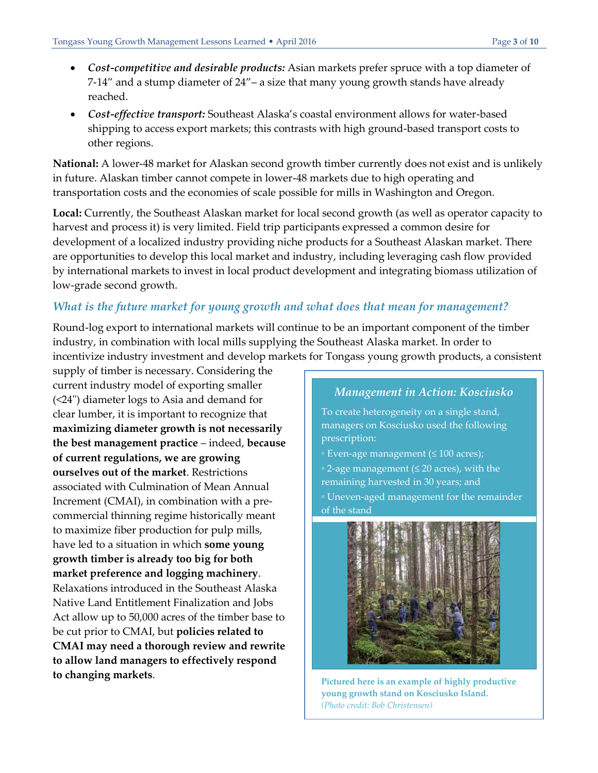- *Cost-competitive and desirable products:* Asian markets prefer spruce with a top diameter of 7-14" and a stump diameter of 24"– a size that many young growth stands have already reached.
- *Cost-effective transport:* Southeast Alaska's coastal environment allows for water-based shipping to access export markets; this contrasts with high ground-based transport costs to other regions.

**National:** A lower-48 market for Alaskan second growth timber currently does not exist and is unlikely in future. Alaskan timber cannot compete in lower-48 markets due to high operating and transportation costs and the economies of scale possible for mills in Washington and Oregon.

**Local:** Currently, the Southeast Alaskan market for local second growth (as well as operator capacity to harvest and process it) is very limited. Field trip participants expressed a common desire for development of a localized industry providing niche products for a Southeast Alaskan market. There are opportunities to develop this local market and industry, including leveraging cash flow provided by international markets to invest in local product development and integrating biomass utilization of low-grade second growth.

# *What is the future market for young growth and what does that mean for management?*

Round-log export to international markets will continue to be an important component of the timber industry, in combination with local mills supplying the Southeast Alaska market. In order to incentivize industry investment and develop markets for Tongass young growth products, a consistent

supply of timber is necessary. Considering the current industry model of exporting smaller (<24") diameter logs to Asia and demand for clear lumber, it is important to recognize that **maximizing diameter growth is not necessarily the best management practice** – indeed, **because of current regulations, we are growing ourselves out of the market**. Restrictions associated with Culmination of Mean Annual Increment (CMAI), in combination with a precommercial thinning regime historically meant to maximize fiber production for pulp mills, have led to a situation in which **some young growth timber is already too big for both market preference and logging machinery**. Relaxations introduced in the Southeast Alaska Native Land Entitlement Finalization and Jobs Act allow up to 50,000 acres of the timber base to be cut prior to CMAI, but **policies related to CMAI may need a thorough review and rewrite to allow land managers to effectively respond to changing markets**.

#### *Management in Action: Kosciusko*

- To create heterogeneity on a single stand, managers on Kosciusko used the following prescription:
- Even-age management (≤ 100 acres);
- 2-age management (≤ 20 acres), with the remaining harvested in 30 years; and
- Uneven-aged management for the remainder of the stand



**Pictured here is an example of highly productive young growth stand on Kosciusko Island.**  *(Photo credit: Bob Christensen)*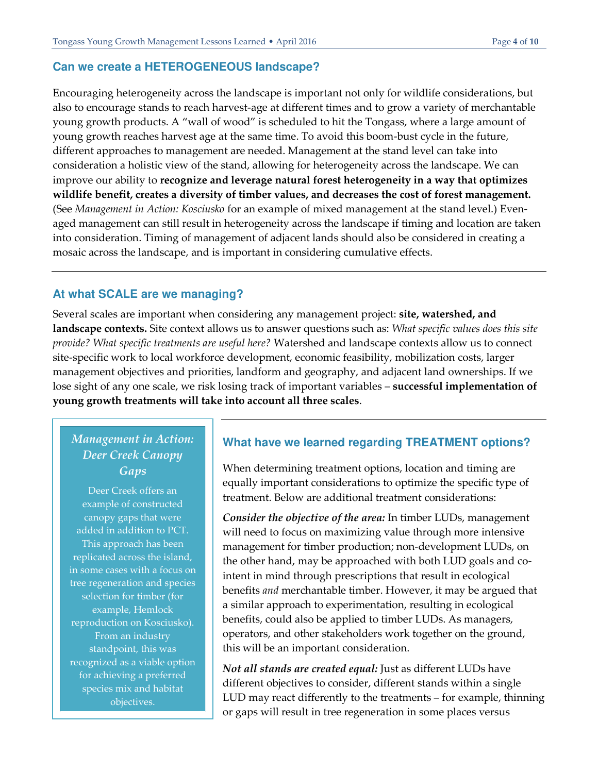#### **Can we create a HETEROGENEOUS landscape?**

Encouraging heterogeneity across the landscape is important not only for wildlife considerations, but also to encourage stands to reach harvest-age at different times and to grow a variety of merchantable young growth products. A "wall of wood" is scheduled to hit the Tongass, where a large amount of young growth reaches harvest age at the same time. To avoid this boom-bust cycle in the future, different approaches to management are needed. Management at the stand level can take into consideration a holistic view of the stand, allowing for heterogeneity across the landscape. We can improve our ability to **recognize and leverage natural forest heterogeneity in a way that optimizes wildlife benefit, creates a diversity of timber values, and decreases the cost of forest management.** (See *Management in Action: Kosciusko* for an example of mixed management at the stand level.) Evenaged management can still result in heterogeneity across the landscape if timing and location are taken into consideration. Timing of management of adjacent lands should also be considered in creating a mosaic across the landscape, and is important in considering cumulative effects.

#### **At what SCALE are we managing?**

Several scales are important when considering any management project: **site, watershed, and landscape contexts.** Site context allows us to answer questions such as: *What specific values does this site provide? What specific treatments are useful here?* Watershed and landscape contexts allow us to connect site-specific work to local workforce development, economic feasibility, mobilization costs, larger management objectives and priorities, landform and geography, and adjacent land ownerships. If we lose sight of any one scale, we risk losing track of important variables – **successful implementation of young growth treatments will take into account all three scales**.

# *Management in Action: Deer Creek Canopy Gaps*

Deer Creek offers an example of constructed canopy gaps that were added in addition to PCT. This approach has been replicated across the island, in some cases with a focus on tree regeneration and species selection for timber (for example, Hemlock reproduction on Kosciusko). From an industry standpoint, this was recognized as a viable option for achieving a preferred species mix and habitat objectives.

#### **What have we learned regarding TREATMENT options?**

When determining treatment options, location and timing are equally important considerations to optimize the specific type of treatment. Below are additional treatment considerations:

*Consider the objective of the area:* In timber LUDs, management will need to focus on maximizing value through more intensive management for timber production; non-development LUDs, on the other hand, may be approached with both LUD goals and cointent in mind through prescriptions that result in ecological benefits *and* merchantable timber. However, it may be argued that a similar approach to experimentation, resulting in ecological benefits, could also be applied to timber LUDs. As managers, operators, and other stakeholders work together on the ground, this will be an important consideration.

*Not all stands are created equal:* Just as different LUDs have different objectives to consider, different stands within a single LUD may react differently to the treatments – for example, thinning or gaps will result in tree regeneration in some places versus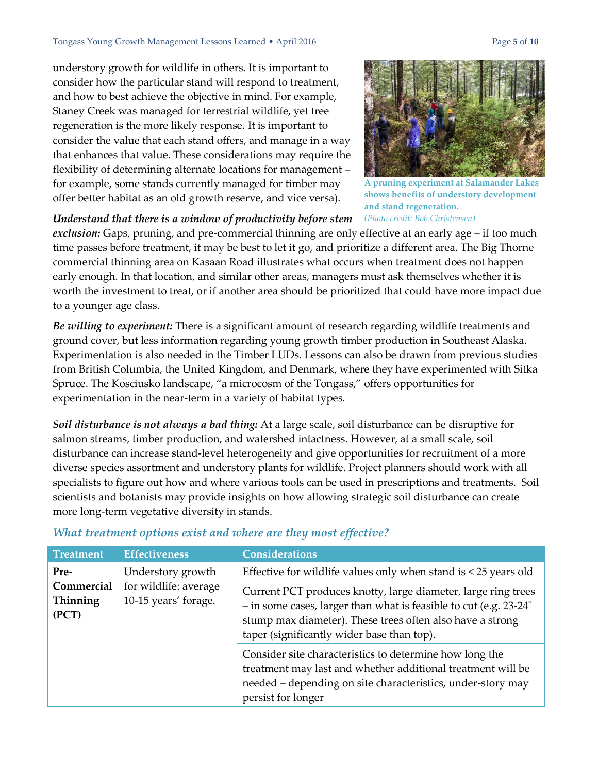understory growth for wildlife in others. It is important to consider how the particular stand will respond to treatment, and how to best achieve the objective in mind. For example, Staney Creek was managed for terrestrial wildlife, yet tree regeneration is the more likely response. It is important to consider the value that each stand offers, and manage in a way that enhances that value. These considerations may require the flexibility of determining alternate locations for management – for example, some stands currently managed for timber may offer better habitat as an old growth reserve, and vice versa).



**A pruning experiment at Salamander Lakes shows benefits of understory development and stand regeneration.**  *(Photo credit: Bob Christensen)*

*Understand that there is a window of productivity before stem* 

*exclusion:* Gaps, pruning, and pre-commercial thinning are only effective at an early age – if too much time passes before treatment, it may be best to let it go, and prioritize a different area. The Big Thorne commercial thinning area on Kasaan Road illustrates what occurs when treatment does not happen early enough. In that location, and similar other areas, managers must ask themselves whether it is worth the investment to treat, or if another area should be prioritized that could have more impact due to a younger age class.

*Be willing to experiment:* There is a significant amount of research regarding wildlife treatments and ground cover, but less information regarding young growth timber production in Southeast Alaska. Experimentation is also needed in the Timber LUDs. Lessons can also be drawn from previous studies from British Columbia, the United Kingdom, and Denmark, where they have experimented with Sitka Spruce. The Kosciusko landscape, "a microcosm of the Tongass," offers opportunities for experimentation in the near-term in a variety of habitat types.

*Soil disturbance is not always a bad thing:* At a large scale, soil disturbance can be disruptive for salmon streams, timber production, and watershed intactness. However, at a small scale, soil disturbance can increase stand-level heterogeneity and give opportunities for recruitment of a more diverse species assortment and understory plants for wildlife. Project planners should work with all specialists to figure out how and where various tools can be used in prescriptions and treatments. Soil scientists and botanists may provide insights on how allowing strategic soil disturbance can create more long-term vegetative diversity in stands.

| <b>Treatment</b>                | <b>Effectiveness</b>                                               | <b>Considerations</b>                                                                                                                                                                                                                         |
|---------------------------------|--------------------------------------------------------------------|-----------------------------------------------------------------------------------------------------------------------------------------------------------------------------------------------------------------------------------------------|
| Pre-                            | Understory growth<br>for wildlife: average<br>10-15 years' forage. | Effective for wildlife values only when stand is $<$ 25 years old                                                                                                                                                                             |
| Commercial<br>Thinning<br>(PCT) |                                                                    | Current PCT produces knotty, large diameter, large ring trees<br>- in some cases, larger than what is feasible to cut (e.g. 23-24"<br>stump max diameter). These trees often also have a strong<br>taper (significantly wider base than top). |
|                                 |                                                                    | Consider site characteristics to determine how long the<br>treatment may last and whether additional treatment will be<br>needed - depending on site characteristics, under-story may<br>persist for longer                                   |

#### *What treatment options exist and where are they most effective?*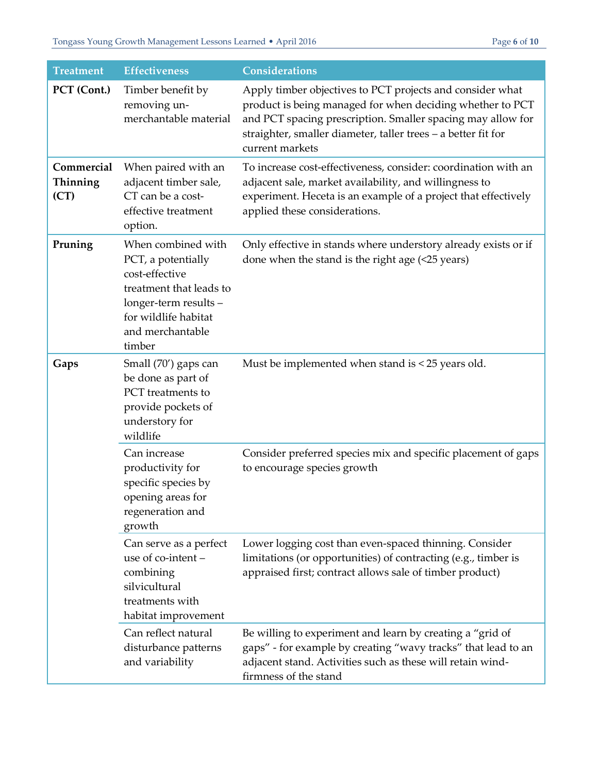| <b>Treatment</b>               | <b>Effectiveness</b>                                                                                                                                                 | <b>Considerations</b>                                                                                                                                                                                                                                                     |
|--------------------------------|----------------------------------------------------------------------------------------------------------------------------------------------------------------------|---------------------------------------------------------------------------------------------------------------------------------------------------------------------------------------------------------------------------------------------------------------------------|
| PCT (Cont.)                    | Timber benefit by<br>removing un-<br>merchantable material                                                                                                           | Apply timber objectives to PCT projects and consider what<br>product is being managed for when deciding whether to PCT<br>and PCT spacing prescription. Smaller spacing may allow for<br>straighter, smaller diameter, taller trees - a better fit for<br>current markets |
| Commercial<br>Thinning<br>(CT) | When paired with an<br>adjacent timber sale,<br>CT can be a cost-<br>effective treatment<br>option.                                                                  | To increase cost-effectiveness, consider: coordination with an<br>adjacent sale, market availability, and willingness to<br>experiment. Heceta is an example of a project that effectively<br>applied these considerations.                                               |
| Pruning                        | When combined with<br>PCT, a potentially<br>cost-effective<br>treatment that leads to<br>longer-term results -<br>for wildlife habitat<br>and merchantable<br>timber | Only effective in stands where understory already exists or if<br>done when the stand is the right age $($ $25$ years $)$                                                                                                                                                 |
| Gaps                           | Small (70') gaps can<br>be done as part of<br>PCT treatments to<br>provide pockets of<br>understory for<br>wildlife                                                  | Must be implemented when stand is < 25 years old.                                                                                                                                                                                                                         |
|                                | Can increase<br>productivity for<br>specific species by<br>opening areas for<br>regeneration and<br>growth                                                           | Consider preferred species mix and specific placement of gaps<br>to encourage species growth                                                                                                                                                                              |
|                                | Can serve as a perfect<br>use of co-intent -<br>combining<br>silvicultural<br>treatments with<br>habitat improvement                                                 | Lower logging cost than even-spaced thinning. Consider<br>limitations (or opportunities) of contracting (e.g., timber is<br>appraised first; contract allows sale of timber product)                                                                                      |
|                                | Can reflect natural<br>disturbance patterns<br>and variability                                                                                                       | Be willing to experiment and learn by creating a "grid of<br>gaps" - for example by creating "wavy tracks" that lead to an<br>adjacent stand. Activities such as these will retain wind-<br>firmness of the stand                                                         |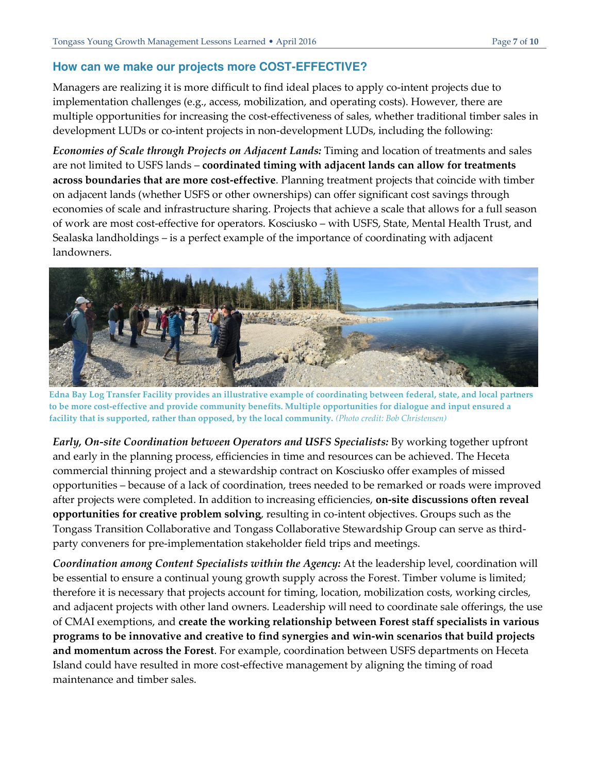#### **How can we make our projects more COST-EFFECTIVE?**

Managers are realizing it is more difficult to find ideal places to apply co-intent projects due to implementation challenges (e.g., access, mobilization, and operating costs). However, there are multiple opportunities for increasing the cost-effectiveness of sales, whether traditional timber sales in development LUDs or co-intent projects in non-development LUDs, including the following:

*Economies of Scale through Projects on Adjacent Lands:* Timing and location of treatments and sales are not limited to USFS lands – **coordinated timing with adjacent lands can allow for treatments across boundaries that are more cost-effective**. Planning treatment projects that coincide with timber on adjacent lands (whether USFS or other ownerships) can offer significant cost savings through economies of scale and infrastructure sharing. Projects that achieve a scale that allows for a full season of work are most cost-effective for operators. Kosciusko – with USFS, State, Mental Health Trust, and Sealaska landholdings – is a perfect example of the importance of coordinating with adjacent landowners.



**Edna Bay Log Transfer Facility provides an illustrative example of coordinating between federal, state, and local partners to be more cost-effective and provide community benefits. Multiple opportunities for dialogue and input ensured a facility that is supported, rather than opposed, by the local community.** *(Photo credit: Bob Christensen)*

*Early, On-site Coordination between Operators and USFS Specialists: By working together upfront* and early in the planning process, efficiencies in time and resources can be achieved. The Heceta commercial thinning project and a stewardship contract on Kosciusko offer examples of missed opportunities – because of a lack of coordination, trees needed to be remarked or roads were improved after projects were completed. In addition to increasing efficiencies, **on-site discussions often reveal opportunities for creative problem solving**, resulting in co-intent objectives. Groups such as the Tongass Transition Collaborative and Tongass Collaborative Stewardship Group can serve as thirdparty conveners for pre-implementation stakeholder field trips and meetings.

*Coordination among Content Specialists within the Agency:* At the leadership level, coordination will be essential to ensure a continual young growth supply across the Forest. Timber volume is limited; therefore it is necessary that projects account for timing, location, mobilization costs, working circles, and adjacent projects with other land owners. Leadership will need to coordinate sale offerings, the use of CMAI exemptions, and **create the working relationship between Forest staff specialists in various programs to be innovative and creative to find synergies and win-win scenarios that build projects and momentum across the Forest**. For example, coordination between USFS departments on Heceta Island could have resulted in more cost-effective management by aligning the timing of road maintenance and timber sales.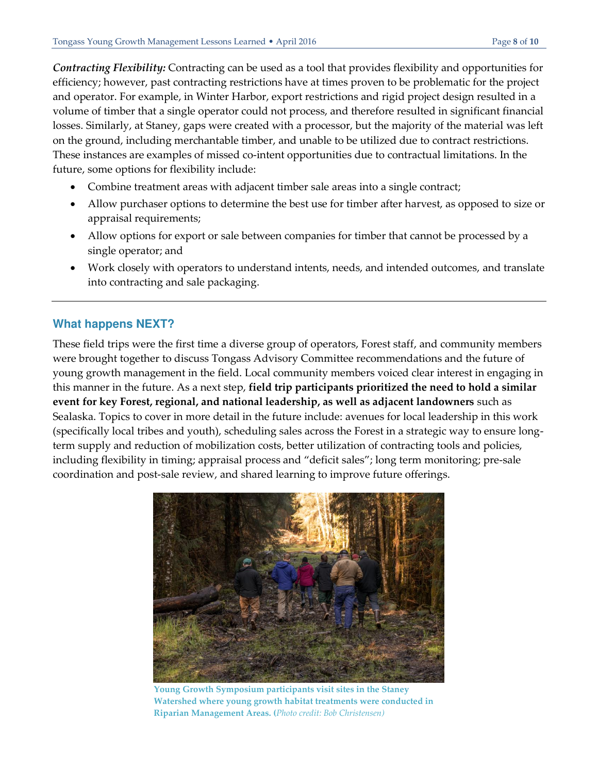*Contracting Flexibility:* Contracting can be used as a tool that provides flexibility and opportunities for efficiency; however, past contracting restrictions have at times proven to be problematic for the project and operator. For example, in Winter Harbor, export restrictions and rigid project design resulted in a volume of timber that a single operator could not process, and therefore resulted in significant financial losses. Similarly, at Staney, gaps were created with a processor, but the majority of the material was left on the ground, including merchantable timber, and unable to be utilized due to contract restrictions. These instances are examples of missed co-intent opportunities due to contractual limitations. In the future, some options for flexibility include:

- Combine treatment areas with adjacent timber sale areas into a single contract;
- Allow purchaser options to determine the best use for timber after harvest, as opposed to size or appraisal requirements;
- Allow options for export or sale between companies for timber that cannot be processed by a single operator; and
- Work closely with operators to understand intents, needs, and intended outcomes, and translate into contracting and sale packaging.

#### **What happens NEXT?**

These field trips were the first time a diverse group of operators, Forest staff, and community members were brought together to discuss Tongass Advisory Committee recommendations and the future of young growth management in the field. Local community members voiced clear interest in engaging in this manner in the future. As a next step, **field trip participants prioritized the need to hold a similar event for key Forest, regional, and national leadership, as well as adjacent landowners** such as Sealaska. Topics to cover in more detail in the future include: avenues for local leadership in this work (specifically local tribes and youth), scheduling sales across the Forest in a strategic way to ensure longterm supply and reduction of mobilization costs, better utilization of contracting tools and policies, including flexibility in timing; appraisal process and "deficit sales"; long term monitoring; pre-sale coordination and post-sale review, and shared learning to improve future offerings.



**Young Growth Symposium participants visit sites in the Staney Watershed where young growth habitat treatments were conducted in Riparian Management Areas. (***Photo credit: Bob Christensen)*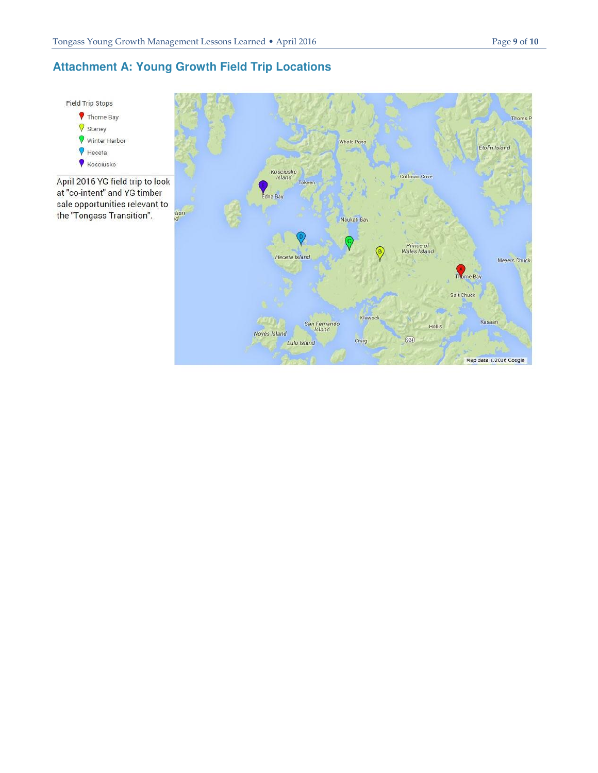# **Attachment A: Young Growth Field Trip Locations**